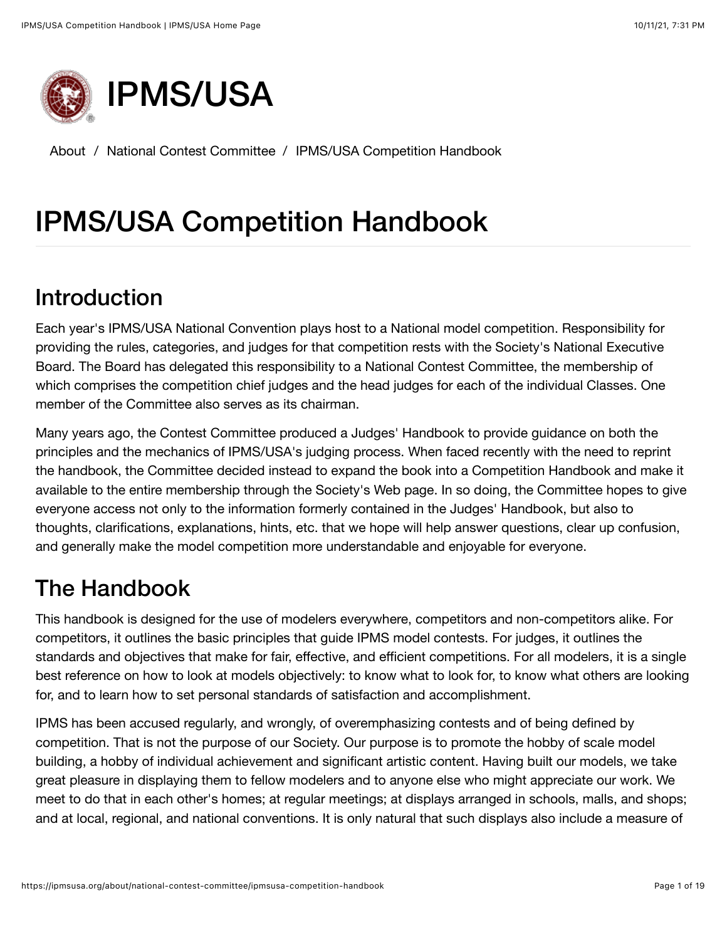

About / National Contest Committee / IPMS/USA [Competition](https://ipmsusa.org/about/national-contest-committee/ipmsusa-competition-handbook) Handbook

# IPMS/USA Competition Handbook

## Introduction

Each year's IPMS/USA National Convention plays host to a National model competition. Responsibility for providing the rules, categories, and judges for that competition rests with the Society's National Executive Board. The Board has delegated this responsibility to a National Contest Committee, the membership of which comprises the competition chief judges and the head judges for each of the individual Classes. One member of the Committee also serves as its chairman.

Many years ago, the Contest Committee produced a Judges' Handbook to provide guidance on both the principles and the mechanics of IPMS/USA's judging process. When faced recently with the need to reprint the handbook, the Committee decided instead to expand the book into a Competition Handbook and make it available to the entire membership through the Society's Web page. In so doing, the Committee hopes to give everyone access not only to the information formerly contained in the Judges' Handbook, but also to thoughts, clarifications, explanations, hints, etc. that we hope will help answer questions, clear up confusion, and generally make the model competition more understandable and enjoyable for everyone.

# The Handbook

This handbook is designed for the use of modelers everywhere, competitors and non-competitors alike. For competitors, it outlines the basic principles that guide IPMS model contests. For judges, it outlines the standards and objectives that make for fair, effective, and efficient competitions. For all modelers, it is a single best reference on how to look at models objectively: to know what to look for, to know what others are looking for, and to learn how to set personal standards of satisfaction and accomplishment.

IPMS has been accused regularly, and wrongly, of overemphasizing contests and of being defined by competition. That is not the purpose of our Society. Our purpose is to promote the hobby of scale model building, a hobby of individual achievement and significant artistic content. Having built our models, we take great pleasure in displaying them to fellow modelers and to anyone else who might appreciate our work. We meet to do that in each other's homes; at regular meetings; at displays arranged in schools, malls, and shops; and at local, regional, and national conventions. It is only natural that such displays also include a measure of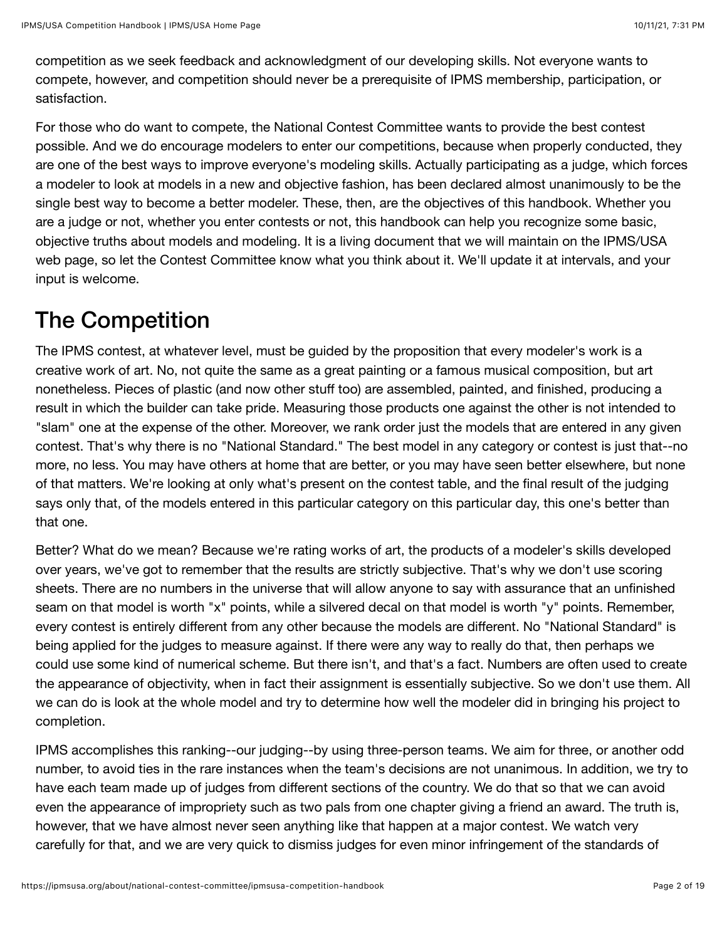competition as we seek feedback and acknowledgment of our developing skills. Not everyone wants to compete, however, and competition should never be a prerequisite of IPMS membership, participation, or satisfaction.

For those who do want to compete, the National Contest Committee wants to provide the best contest possible. And we do encourage modelers to enter our competitions, because when properly conducted, they are one of the best ways to improve everyone's modeling skills. Actually participating as a judge, which forces a modeler to look at models in a new and objective fashion, has been declared almost unanimously to be the single best way to become a better modeler. These, then, are the objectives of this handbook. Whether you are a judge or not, whether you enter contests or not, this handbook can help you recognize some basic, objective truths about models and modeling. It is a living document that we will maintain on the IPMS/USA web page, so let the Contest Committee know what you think about it. We'll update it at intervals, and your input is welcome.

# The Competition

The IPMS contest, at whatever level, must be guided by the proposition that every modeler's work is a creative work of art. No, not quite the same as a great painting or a famous musical composition, but art nonetheless. Pieces of plastic (and now other stuff too) are assembled, painted, and finished, producing a result in which the builder can take pride. Measuring those products one against the other is not intended to "slam" one at the expense of the other. Moreover, we rank order just the models that are entered in any given contest. That's why there is no "National Standard." The best model in any category or contest is just that--no more, no less. You may have others at home that are better, or you may have seen better elsewhere, but none of that matters. We're looking at only what's present on the contest table, and the final result of the judging says only that, of the models entered in this particular category on this particular day, this one's better than that one.

Better? What do we mean? Because we're rating works of art, the products of a modeler's skills developed over years, we've got to remember that the results are strictly subjective. That's why we don't use scoring sheets. There are no numbers in the universe that will allow anyone to say with assurance that an unfinished seam on that model is worth "x" points, while a silvered decal on that model is worth "y" points. Remember, every contest is entirely different from any other because the models are different. No "National Standard" is being applied for the judges to measure against. If there were any way to really do that, then perhaps we could use some kind of numerical scheme. But there isn't, and that's a fact. Numbers are often used to create the appearance of objectivity, when in fact their assignment is essentially subjective. So we don't use them. All we can do is look at the whole model and try to determine how well the modeler did in bringing his project to completion.

IPMS accomplishes this ranking--our judging--by using three-person teams. We aim for three, or another odd number, to avoid ties in the rare instances when the team's decisions are not unanimous. In addition, we try to have each team made up of judges from different sections of the country. We do that so that we can avoid even the appearance of impropriety such as two pals from one chapter giving a friend an award. The truth is, however, that we have almost never seen anything like that happen at a major contest. We watch very carefully for that, and we are very quick to dismiss judges for even minor infringement of the standards of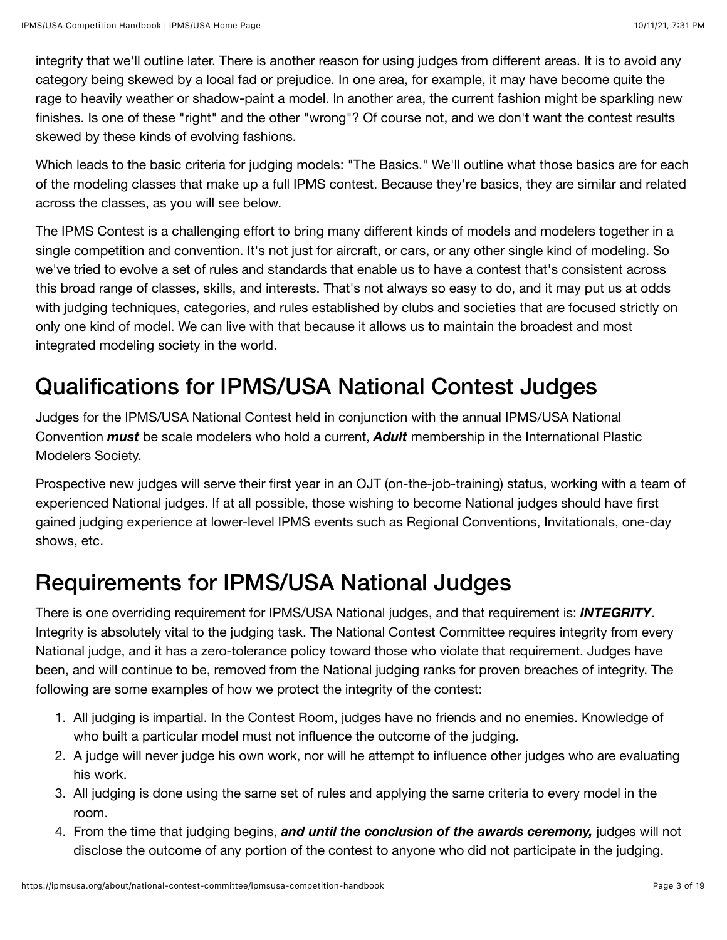integrity that we'll outline later. There is another reason for using judges from different areas. It is to avoid any category being skewed by a local fad or prejudice. In one area, for example, it may have become quite the rage to heavily weather or shadow-paint a model. In another area, the current fashion might be sparkling new finishes. Is one of these "right" and the other "wrong"? Of course not, and we don't want the contest results skewed by these kinds of evolving fashions.

Which leads to the basic criteria for judging models: "The Basics." We'll outline what those basics are for each of the modeling classes that make up a full IPMS contest. Because they're basics, they are similar and related across the classes, as you will see below.

The IPMS Contest is a challenging effort to bring many different kinds of models and modelers together in a single competition and convention. It's not just for aircraft, or cars, or any other single kind of modeling. So we've tried to evolve a set of rules and standards that enable us to have a contest that's consistent across this broad range of classes, skills, and interests. That's not always so easy to do, and it may put us at odds with judging techniques, categories, and rules established by clubs and societies that are focused strictly on only one kind of model. We can live with that because it allows us to maintain the broadest and most integrated modeling society in the world.

# Qualifications for IPMS/USA National Contest Judges

Judges for the IPMS/USA National Contest held in conjunction with the annual IPMS/USA National Convention *must* be scale modelers who hold a current, *Adult* membership in the International Plastic Modelers Society.

Prospective new judges will serve their first year in an OJT (on-the-job-training) status, working with a team of experienced National judges. If at all possible, those wishing to become National judges should have first gained judging experience at lower-level IPMS events such as Regional Conventions, Invitationals, one-day shows, etc.

# Requirements for IPMS/USA National Judges

There is one overriding requirement for IPMS/USA National judges, and that requirement is: *INTEGRITY*. Integrity is absolutely vital to the judging task. The National Contest Committee requires integrity from every National judge, and it has a zero-tolerance policy toward those who violate that requirement. Judges have been, and will continue to be, removed from the National judging ranks for proven breaches of integrity. The following are some examples of how we protect the integrity of the contest:

- 1. All judging is impartial. In the Contest Room, judges have no friends and no enemies. Knowledge of who built a particular model must not influence the outcome of the judging.
- 2. A judge will never judge his own work, nor will he attempt to influence other judges who are evaluating his work.
- 3. All judging is done using the same set of rules and applying the same criteria to every model in the room.
- 4. From the time that judging begins, *and until the conclusion of the awards ceremony,* judges will not disclose the outcome of any portion of the contest to anyone who did not participate in the judging.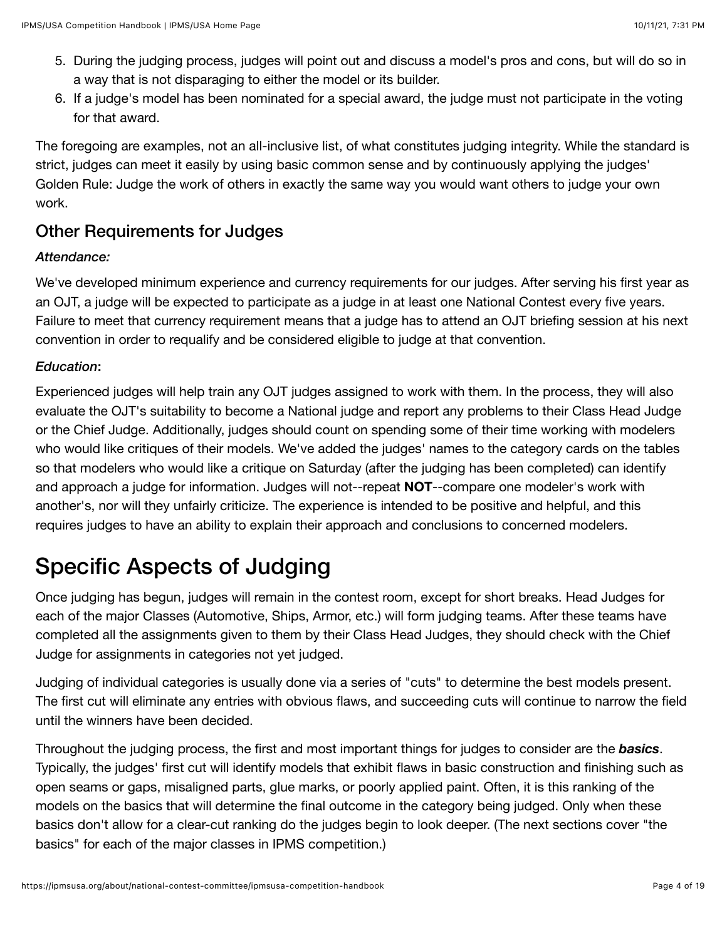- 5. During the judging process, judges will point out and discuss a model's pros and cons, but will do so in a way that is not disparaging to either the model or its builder.
- 6. If a judge's model has been nominated for a special award, the judge must not participate in the voting for that award.

The foregoing are examples, not an all-inclusive list, of what constitutes judging integrity. While the standard is strict, judges can meet it easily by using basic common sense and by continuously applying the judges' Golden Rule: Judge the work of others in exactly the same way you would want others to judge your own work.

## Other Requirements for Judges

### *Attendance:*

We've developed minimum experience and currency requirements for our judges. After serving his first year as an OJT, a judge will be expected to participate as a judge in at least one National Contest every five years. Failure to meet that currency requirement means that a judge has to attend an OJT briefing session at his next convention in order to requalify and be considered eligible to judge at that convention.

### *Education*:

Experienced judges will help train any OJT judges assigned to work with them. In the process, they will also evaluate the OJT's suitability to become a National judge and report any problems to their Class Head Judge or the Chief Judge. Additionally, judges should count on spending some of their time working with modelers who would like critiques of their models. We've added the judges' names to the category cards on the tables so that modelers who would like a critique on Saturday (after the judging has been completed) can identify and approach a judge for information. Judges will not--repeat **NOT**--compare one modeler's work with another's, nor will they unfairly criticize. The experience is intended to be positive and helpful, and this requires judges to have an ability to explain their approach and conclusions to concerned modelers.

# Specific Aspects of Judging

Once judging has begun, judges will remain in the contest room, except for short breaks. Head Judges for each of the major Classes (Automotive, Ships, Armor, etc.) will form judging teams. After these teams have completed all the assignments given to them by their Class Head Judges, they should check with the Chief Judge for assignments in categories not yet judged.

Judging of individual categories is usually done via a series of "cuts" to determine the best models present. The first cut will eliminate any entries with obvious flaws, and succeeding cuts will continue to narrow the field until the winners have been decided.

Throughout the judging process, the first and most important things for judges to consider are the *basics*. Typically, the judges' first cut will identify models that exhibit flaws in basic construction and finishing such as open seams or gaps, misaligned parts, glue marks, or poorly applied paint. Often, it is this ranking of the models on the basics that will determine the final outcome in the category being judged. Only when these basics don't allow for a clear-cut ranking do the judges begin to look deeper. (The next sections cover "the basics" for each of the major classes in IPMS competition.)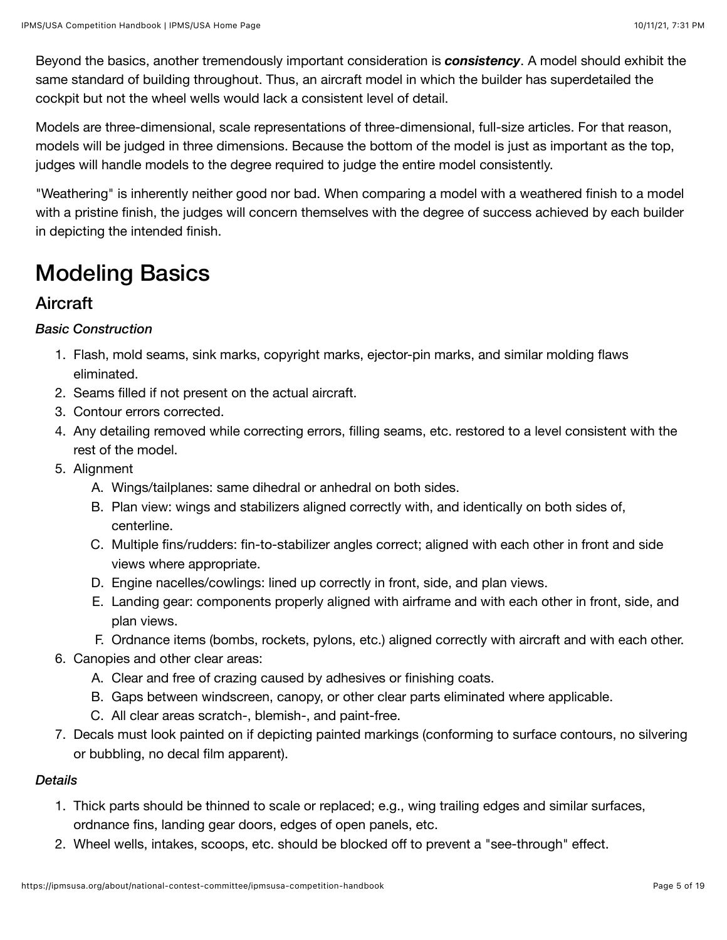Beyond the basics, another tremendously important consideration is *consistency*. A model should exhibit the same standard of building throughout. Thus, an aircraft model in which the builder has superdetailed the cockpit but not the wheel wells would lack a consistent level of detail.

Models are three-dimensional, scale representations of three-dimensional, full-size articles. For that reason, models will be judged in three dimensions. Because the bottom of the model is just as important as the top, judges will handle models to the degree required to judge the entire model consistently.

"Weathering" is inherently neither good nor bad. When comparing a model with a weathered finish to a model with a pristine finish, the judges will concern themselves with the degree of success achieved by each builder in depicting the intended finish.

# Modeling Basics

## **Aircraft**

*Basic Construction*

- 1. Flash, mold seams, sink marks, copyright marks, ejector-pin marks, and similar molding flaws eliminated.
- 2. Seams filled if not present on the actual aircraft.
- 3. Contour errors corrected.
- 4. Any detailing removed while correcting errors, filling seams, etc. restored to a level consistent with the rest of the model.
- 5. Alignment
	- A. Wings/tailplanes: same dihedral or anhedral on both sides.
	- B. Plan view: wings and stabilizers aligned correctly with, and identically on both sides of, centerline.
	- C. Multiple fins/rudders: fin-to-stabilizer angles correct; aligned with each other in front and side views where appropriate.
	- D. Engine nacelles/cowlings: lined up correctly in front, side, and plan views.
	- E. Landing gear: components properly aligned with airframe and with each other in front, side, and plan views.
	- F. Ordnance items (bombs, rockets, pylons, etc.) aligned correctly with aircraft and with each other.
- 6. Canopies and other clear areas:
	- A. Clear and free of crazing caused by adhesives or finishing coats.
	- B. Gaps between windscreen, canopy, or other clear parts eliminated where applicable.
	- C. All clear areas scratch-, blemish-, and paint-free.
- 7. Decals must look painted on if depicting painted markings (conforming to surface contours, no silvering or bubbling, no decal film apparent).

### *Details*

- 1. Thick parts should be thinned to scale or replaced; e.g., wing trailing edges and similar surfaces, ordnance fins, landing gear doors, edges of open panels, etc.
- 2. Wheel wells, intakes, scoops, etc. should be blocked off to prevent a "see-through" effect.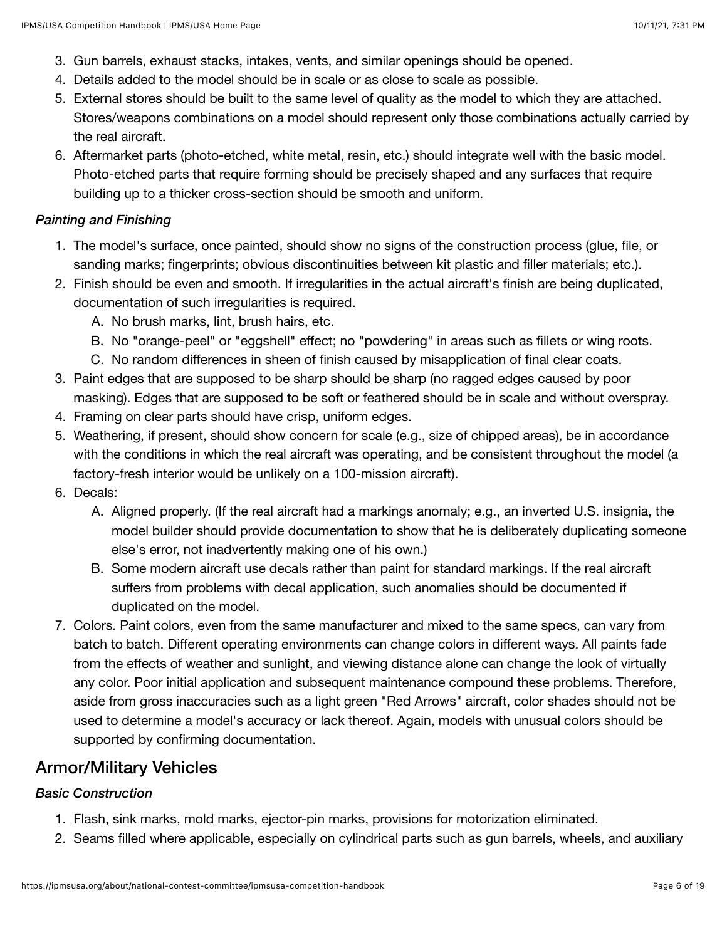- 3. Gun barrels, exhaust stacks, intakes, vents, and similar openings should be opened.
- 4. Details added to the model should be in scale or as close to scale as possible.
- 5. External stores should be built to the same level of quality as the model to which they are attached. Stores/weapons combinations on a model should represent only those combinations actually carried by the real aircraft.
- 6. Aftermarket parts (photo-etched, white metal, resin, etc.) should integrate well with the basic model. Photo-etched parts that require forming should be precisely shaped and any surfaces that require building up to a thicker cross-section should be smooth and uniform.

#### *Painting and Finishing*

- 1. The model's surface, once painted, should show no signs of the construction process (glue, file, or sanding marks; fingerprints; obvious discontinuities between kit plastic and filler materials; etc.).
- 2. Finish should be even and smooth. If irregularities in the actual aircraft's finish are being duplicated, documentation of such irregularities is required.
	- A. No brush marks, lint, brush hairs, etc.
	- B. No "orange-peel" or "eggshell" effect; no "powdering" in areas such as fillets or wing roots.
	- C. No random differences in sheen of finish caused by misapplication of final clear coats.
- 3. Paint edges that are supposed to be sharp should be sharp (no ragged edges caused by poor masking). Edges that are supposed to be soft or feathered should be in scale and without overspray.
- 4. Framing on clear parts should have crisp, uniform edges.
- 5. Weathering, if present, should show concern for scale (e.g., size of chipped areas), be in accordance with the conditions in which the real aircraft was operating, and be consistent throughout the model (a factory-fresh interior would be unlikely on a 100-mission aircraft).
- 6. Decals:
	- A. Aligned properly. (If the real aircraft had a markings anomaly; e.g., an inverted U.S. insignia, the model builder should provide documentation to show that he is deliberately duplicating someone else's error, not inadvertently making one of his own.)
	- B. Some modern aircraft use decals rather than paint for standard markings. If the real aircraft suffers from problems with decal application, such anomalies should be documented if duplicated on the model.
- 7. Colors. Paint colors, even from the same manufacturer and mixed to the same specs, can vary from batch to batch. Different operating environments can change colors in different ways. All paints fade from the effects of weather and sunlight, and viewing distance alone can change the look of virtually any color. Poor initial application and subsequent maintenance compound these problems. Therefore, aside from gross inaccuracies such as a light green "Red Arrows" aircraft, color shades should not be used to determine a model's accuracy or lack thereof. Again, models with unusual colors should be supported by confirming documentation.

### Armor/Military Vehicles

### *Basic Construction*

- 1. Flash, sink marks, mold marks, ejector-pin marks, provisions for motorization eliminated.
- 2. Seams filled where applicable, especially on cylindrical parts such as gun barrels, wheels, and auxiliary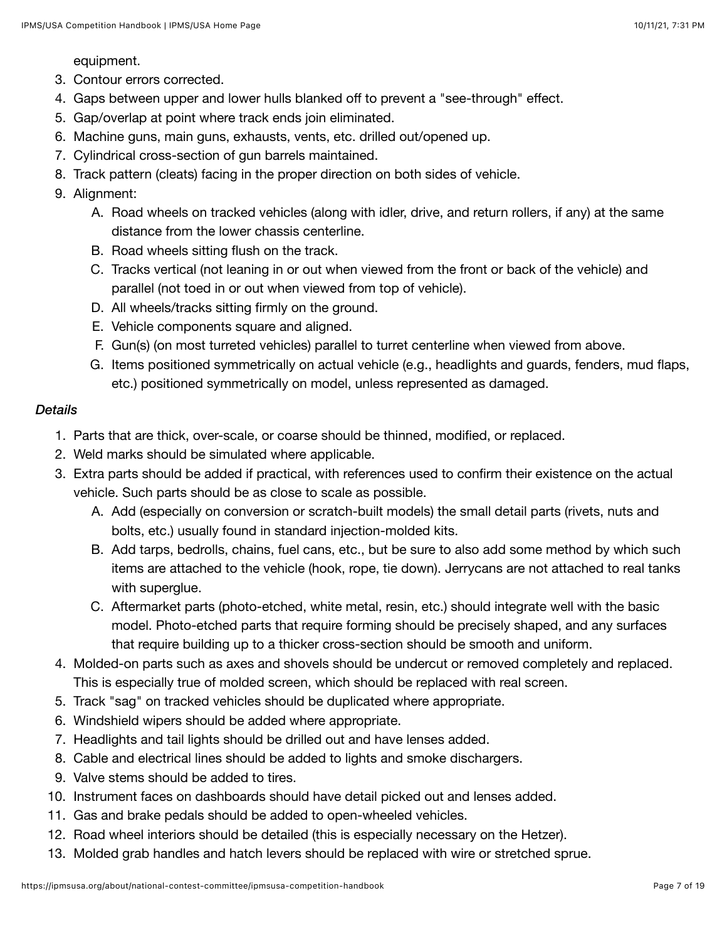equipment.

- 3. Contour errors corrected.
- 4. Gaps between upper and lower hulls blanked off to prevent a "see-through" effect.
- 5. Gap/overlap at point where track ends join eliminated.
- 6. Machine guns, main guns, exhausts, vents, etc. drilled out/opened up.
- 7. Cylindrical cross-section of gun barrels maintained.
- 8. Track pattern (cleats) facing in the proper direction on both sides of vehicle.

### 9. Alignment:

- A. Road wheels on tracked vehicles (along with idler, drive, and return rollers, if any) at the same distance from the lower chassis centerline.
- B. Road wheels sitting flush on the track.
- C. Tracks vertical (not leaning in or out when viewed from the front or back of the vehicle) and parallel (not toed in or out when viewed from top of vehicle).
- D. All wheels/tracks sitting firmly on the ground.
- E. Vehicle components square and aligned.
- F. Gun(s) (on most turreted vehicles) parallel to turret centerline when viewed from above.
- G. Items positioned symmetrically on actual vehicle (e.g., headlights and guards, fenders, mud flaps, etc.) positioned symmetrically on model, unless represented as damaged.

#### *Details*

- 1. Parts that are thick, over-scale, or coarse should be thinned, modified, or replaced.
- 2. Weld marks should be simulated where applicable.
- 3. Extra parts should be added if practical, with references used to confirm their existence on the actual vehicle. Such parts should be as close to scale as possible.
	- A. Add (especially on conversion or scratch-built models) the small detail parts (rivets, nuts and bolts, etc.) usually found in standard injection-molded kits.
	- B. Add tarps, bedrolls, chains, fuel cans, etc., but be sure to also add some method by which such items are attached to the vehicle (hook, rope, tie down). Jerrycans are not attached to real tanks with superglue.
	- C. Aftermarket parts (photo-etched, white metal, resin, etc.) should integrate well with the basic model. Photo-etched parts that require forming should be precisely shaped, and any surfaces that require building up to a thicker cross-section should be smooth and uniform.
- 4. Molded-on parts such as axes and shovels should be undercut or removed completely and replaced. This is especially true of molded screen, which should be replaced with real screen.
- 5. Track "sag" on tracked vehicles should be duplicated where appropriate.
- 6. Windshield wipers should be added where appropriate.
- 7. Headlights and tail lights should be drilled out and have lenses added.
- 8. Cable and electrical lines should be added to lights and smoke dischargers.
- 9. Valve stems should be added to tires.
- 10. Instrument faces on dashboards should have detail picked out and lenses added.
- 11. Gas and brake pedals should be added to open-wheeled vehicles.
- 12. Road wheel interiors should be detailed (this is especially necessary on the Hetzer).
- 13. Molded grab handles and hatch levers should be replaced with wire or stretched sprue.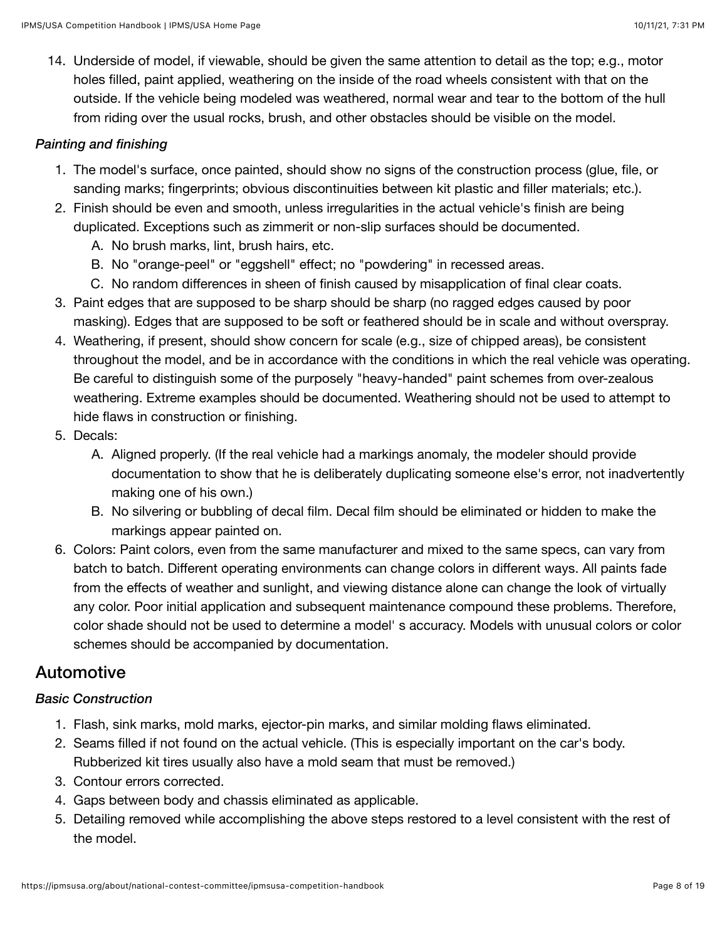14. Underside of model, if viewable, should be given the same attention to detail as the top; e.g., motor holes filled, paint applied, weathering on the inside of the road wheels consistent with that on the outside. If the vehicle being modeled was weathered, normal wear and tear to the bottom of the hull from riding over the usual rocks, brush, and other obstacles should be visible on the model.

### *Painting and finishing*

- 1. The model's surface, once painted, should show no signs of the construction process (glue, file, or sanding marks; fingerprints; obvious discontinuities between kit plastic and filler materials; etc.).
- 2. Finish should be even and smooth, unless irregularities in the actual vehicle's finish are being duplicated. Exceptions such as zimmerit or non-slip surfaces should be documented.
	- A. No brush marks, lint, brush hairs, etc.
	- B. No "orange-peel" or "eggshell" effect; no "powdering" in recessed areas.
	- C. No random differences in sheen of finish caused by misapplication of final clear coats.
- 3. Paint edges that are supposed to be sharp should be sharp (no ragged edges caused by poor masking). Edges that are supposed to be soft or feathered should be in scale and without overspray.
- 4. Weathering, if present, should show concern for scale (e.g., size of chipped areas), be consistent throughout the model, and be in accordance with the conditions in which the real vehicle was operating. Be careful to distinguish some of the purposely "heavy-handed" paint schemes from over-zealous weathering. Extreme examples should be documented. Weathering should not be used to attempt to hide flaws in construction or finishing.
- 5. Decals:
	- A. Aligned properly. (If the real vehicle had a markings anomaly, the modeler should provide documentation to show that he is deliberately duplicating someone else's error, not inadvertently making one of his own.)
	- B. No silvering or bubbling of decal film. Decal film should be eliminated or hidden to make the markings appear painted on.
- 6. Colors: Paint colors, even from the same manufacturer and mixed to the same specs, can vary from batch to batch. Different operating environments can change colors in different ways. All paints fade from the effects of weather and sunlight, and viewing distance alone can change the look of virtually any color. Poor initial application and subsequent maintenance compound these problems. Therefore, color shade should not be used to determine a model' s accuracy. Models with unusual colors or color schemes should be accompanied by documentation.

### Automotive

### *Basic Construction*

- 1. Flash, sink marks, mold marks, ejector-pin marks, and similar molding flaws eliminated.
- 2. Seams filled if not found on the actual vehicle. (This is especially important on the car's body. Rubberized kit tires usually also have a mold seam that must be removed.)
- 3. Contour errors corrected.
- 4. Gaps between body and chassis eliminated as applicable.
- 5. Detailing removed while accomplishing the above steps restored to a level consistent with the rest of the model.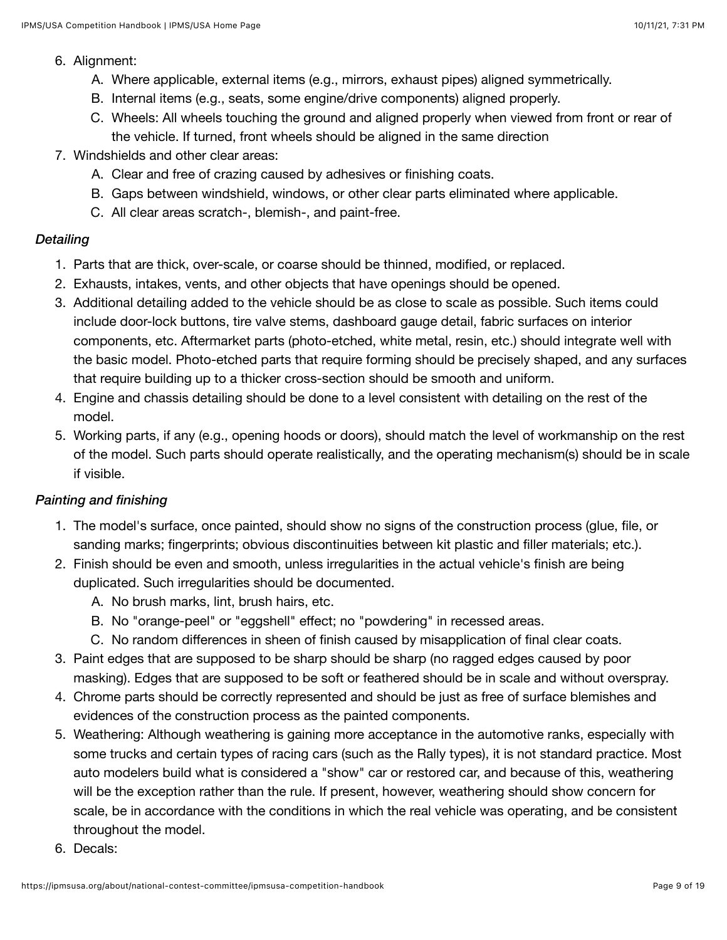#### 6. Alignment:

- A. Where applicable, external items (e.g., mirrors, exhaust pipes) aligned symmetrically.
- B. Internal items (e.g., seats, some engine/drive components) aligned properly.
- C. Wheels: All wheels touching the ground and aligned properly when viewed from front or rear of the vehicle. If turned, front wheels should be aligned in the same direction
- 7. Windshields and other clear areas:
	- A. Clear and free of crazing caused by adhesives or finishing coats.
	- B. Gaps between windshield, windows, or other clear parts eliminated where applicable.
	- C. All clear areas scratch-, blemish-, and paint-free.

### *Detailing*

- 1. Parts that are thick, over-scale, or coarse should be thinned, modified, or replaced.
- 2. Exhausts, intakes, vents, and other objects that have openings should be opened.
- 3. Additional detailing added to the vehicle should be as close to scale as possible. Such items could include door-lock buttons, tire valve stems, dashboard gauge detail, fabric surfaces on interior components, etc. Aftermarket parts (photo-etched, white metal, resin, etc.) should integrate well with the basic model. Photo-etched parts that require forming should be precisely shaped, and any surfaces that require building up to a thicker cross-section should be smooth and uniform.
- 4. Engine and chassis detailing should be done to a level consistent with detailing on the rest of the model.
- 5. Working parts, if any (e.g., opening hoods or doors), should match the level of workmanship on the rest of the model. Such parts should operate realistically, and the operating mechanism(s) should be in scale if visible.

### *Painting and finishing*

- 1. The model's surface, once painted, should show no signs of the construction process (glue, file, or sanding marks; fingerprints; obvious discontinuities between kit plastic and filler materials; etc.).
- 2. Finish should be even and smooth, unless irregularities in the actual vehicle's finish are being duplicated. Such irregularities should be documented.
	- A. No brush marks, lint, brush hairs, etc.
	- B. No "orange-peel" or "eggshell" effect; no "powdering" in recessed areas.
	- C. No random differences in sheen of finish caused by misapplication of final clear coats.
- 3. Paint edges that are supposed to be sharp should be sharp (no ragged edges caused by poor masking). Edges that are supposed to be soft or feathered should be in scale and without overspray.
- 4. Chrome parts should be correctly represented and should be just as free of surface blemishes and evidences of the construction process as the painted components.
- 5. Weathering: Although weathering is gaining more acceptance in the automotive ranks, especially with some trucks and certain types of racing cars (such as the Rally types), it is not standard practice. Most auto modelers build what is considered a "show" car or restored car, and because of this, weathering will be the exception rather than the rule. If present, however, weathering should show concern for scale, be in accordance with the conditions in which the real vehicle was operating, and be consistent throughout the model.
- 6. Decals: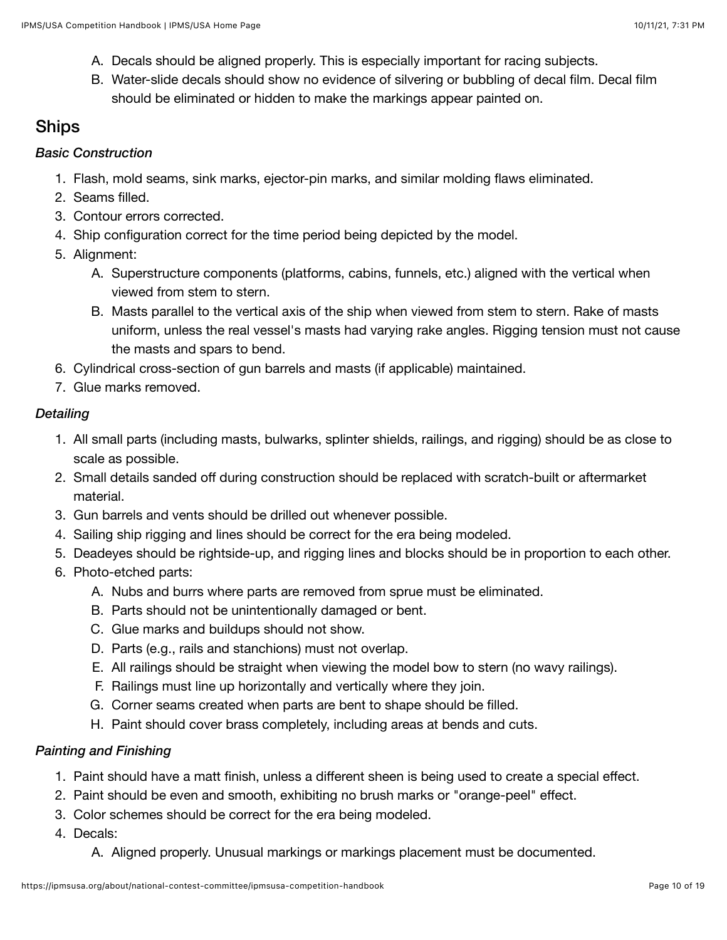- A. Decals should be aligned properly. This is especially important for racing subjects.
- B. Water-slide decals should show no evidence of silvering or bubbling of decal film. Decal film should be eliminated or hidden to make the markings appear painted on.

## Ships

### *Basic Construction*

- 1. Flash, mold seams, sink marks, ejector-pin marks, and similar molding flaws eliminated.
- 2. Seams filled.
- 3. Contour errors corrected.
- 4. Ship configuration correct for the time period being depicted by the model.
- 5. Alignment:
	- A. Superstructure components (platforms, cabins, funnels, etc.) aligned with the vertical when viewed from stem to stern.
	- B. Masts parallel to the vertical axis of the ship when viewed from stem to stern. Rake of masts uniform, unless the real vessel's masts had varying rake angles. Rigging tension must not cause the masts and spars to bend.
- 6. Cylindrical cross-section of gun barrels and masts (if applicable) maintained.
- 7. Glue marks removed.

### *Detailing*

- 1. All small parts (including masts, bulwarks, splinter shields, railings, and rigging) should be as close to scale as possible.
- 2. Small details sanded off during construction should be replaced with scratch-built or aftermarket material.
- 3. Gun barrels and vents should be drilled out whenever possible.
- 4. Sailing ship rigging and lines should be correct for the era being modeled.
- 5. Deadeyes should be rightside-up, and rigging lines and blocks should be in proportion to each other.
- 6. Photo-etched parts:
	- A. Nubs and burrs where parts are removed from sprue must be eliminated.
	- B. Parts should not be unintentionally damaged or bent.
	- C. Glue marks and buildups should not show.
	- D. Parts (e.g., rails and stanchions) must not overlap.
	- E. All railings should be straight when viewing the model bow to stern (no wavy railings).
	- F. Railings must line up horizontally and vertically where they join.
	- G. Corner seams created when parts are bent to shape should be filled.
	- H. Paint should cover brass completely, including areas at bends and cuts.

### *Painting and Finishing*

- 1. Paint should have a matt finish, unless a different sheen is being used to create a special effect.
- 2. Paint should be even and smooth, exhibiting no brush marks or "orange-peel" effect.
- 3. Color schemes should be correct for the era being modeled.
- 4. Decals:
	- A. Aligned properly. Unusual markings or markings placement must be documented.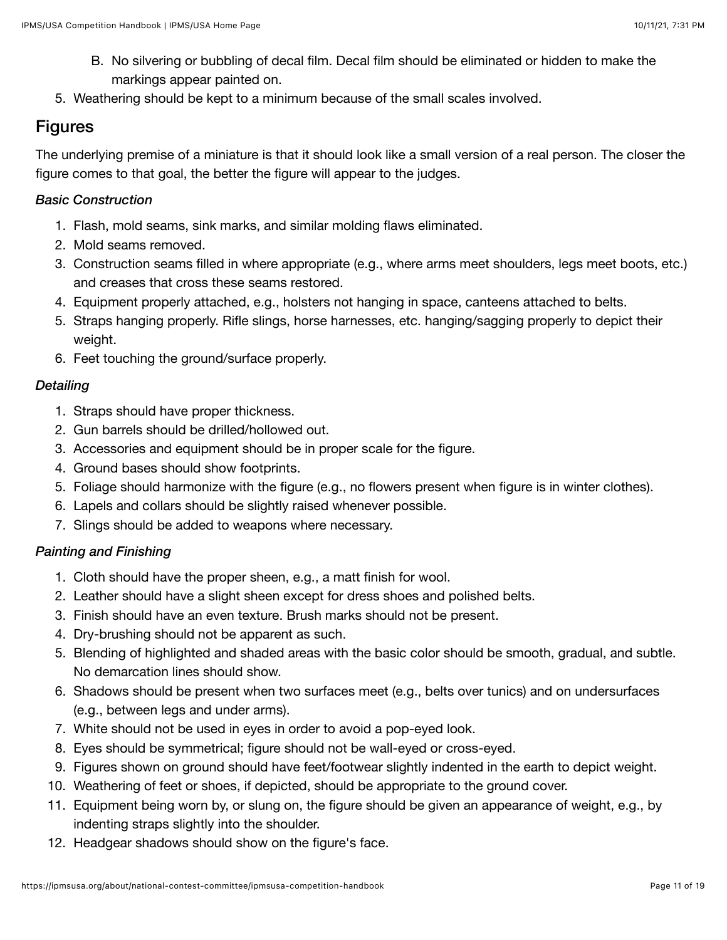- B. No silvering or bubbling of decal film. Decal film should be eliminated or hidden to make the markings appear painted on.
- 5. Weathering should be kept to a minimum because of the small scales involved.

## Figures

The underlying premise of a miniature is that it should look like a small version of a real person. The closer the figure comes to that goal, the better the figure will appear to the judges.

### *Basic Construction*

- 1. Flash, mold seams, sink marks, and similar molding flaws eliminated.
- 2. Mold seams removed.
- 3. Construction seams filled in where appropriate (e.g., where arms meet shoulders, legs meet boots, etc.) and creases that cross these seams restored.
- 4. Equipment properly attached, e.g., holsters not hanging in space, canteens attached to belts.
- 5. Straps hanging properly. Rifle slings, horse harnesses, etc. hanging/sagging properly to depict their weight.
- 6. Feet touching the ground/surface properly.

### *Detailing*

- 1. Straps should have proper thickness.
- 2. Gun barrels should be drilled/hollowed out.
- 3. Accessories and equipment should be in proper scale for the figure.
- 4. Ground bases should show footprints.
- 5. Foliage should harmonize with the figure (e.g., no flowers present when figure is in winter clothes).
- 6. Lapels and collars should be slightly raised whenever possible.
- 7. Slings should be added to weapons where necessary.

### *Painting and Finishing*

- 1. Cloth should have the proper sheen, e.g., a matt finish for wool.
- 2. Leather should have a slight sheen except for dress shoes and polished belts.
- 3. Finish should have an even texture. Brush marks should not be present.
- 4. Dry-brushing should not be apparent as such.
- 5. Blending of highlighted and shaded areas with the basic color should be smooth, gradual, and subtle. No demarcation lines should show.
- 6. Shadows should be present when two surfaces meet (e.g., belts over tunics) and on undersurfaces (e.g., between legs and under arms).
- 7. White should not be used in eyes in order to avoid a pop-eyed look.
- 8. Eyes should be symmetrical; figure should not be wall-eyed or cross-eyed.
- 9. Figures shown on ground should have feet/footwear slightly indented in the earth to depict weight.
- 10. Weathering of feet or shoes, if depicted, should be appropriate to the ground cover.
- 11. Equipment being worn by, or slung on, the figure should be given an appearance of weight, e.g., by indenting straps slightly into the shoulder.
- 12. Headgear shadows should show on the figure's face.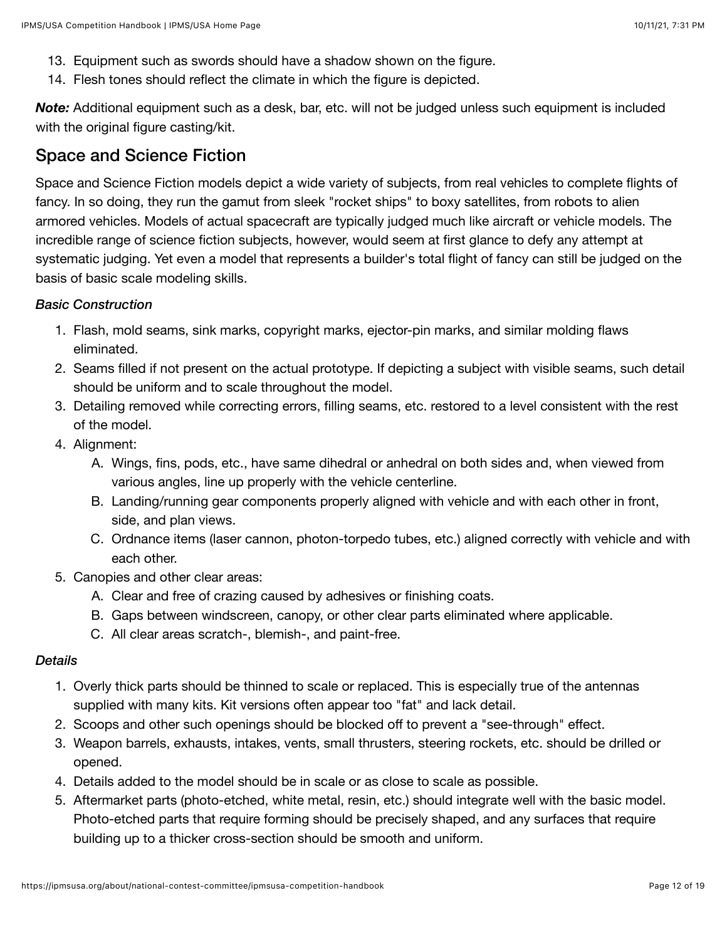- 13. Equipment such as swords should have a shadow shown on the figure.
- 14. Flesh tones should reflect the climate in which the figure is depicted.

*Note:* Additional equipment such as a desk, bar, etc. will not be judged unless such equipment is included with the original figure casting/kit.

### Space and Science Fiction

Space and Science Fiction models depict a wide variety of subjects, from real vehicles to complete flights of fancy. In so doing, they run the gamut from sleek "rocket ships" to boxy satellites, from robots to alien armored vehicles. Models of actual spacecraft are typically judged much like aircraft or vehicle models. The incredible range of science fiction subjects, however, would seem at first glance to defy any attempt at systematic judging. Yet even a model that represents a builder's total flight of fancy can still be judged on the basis of basic scale modeling skills.

### *Basic Construction*

- 1. Flash, mold seams, sink marks, copyright marks, ejector-pin marks, and similar molding flaws eliminated.
- 2. Seams filled if not present on the actual prototype. If depicting a subject with visible seams, such detail should be uniform and to scale throughout the model.
- 3. Detailing removed while correcting errors, filling seams, etc. restored to a level consistent with the rest of the model.
- 4. Alignment:
	- A. Wings, fins, pods, etc., have same dihedral or anhedral on both sides and, when viewed from various angles, line up properly with the vehicle centerline.
	- B. Landing/running gear components properly aligned with vehicle and with each other in front, side, and plan views.
	- C. Ordnance items (laser cannon, photon-torpedo tubes, etc.) aligned correctly with vehicle and with each other.
- 5. Canopies and other clear areas:
	- A. Clear and free of crazing caused by adhesives or finishing coats.
	- B. Gaps between windscreen, canopy, or other clear parts eliminated where applicable.
	- C. All clear areas scratch-, blemish-, and paint-free.

#### *Details*

- 1. Overly thick parts should be thinned to scale or replaced. This is especially true of the antennas supplied with many kits. Kit versions often appear too "fat" and lack detail.
- 2. Scoops and other such openings should be blocked off to prevent a "see-through" effect.
- 3. Weapon barrels, exhausts, intakes, vents, small thrusters, steering rockets, etc. should be drilled or opened.
- 4. Details added to the model should be in scale or as close to scale as possible.
- 5. Aftermarket parts (photo-etched, white metal, resin, etc.) should integrate well with the basic model. Photo-etched parts that require forming should be precisely shaped, and any surfaces that require building up to a thicker cross-section should be smooth and uniform.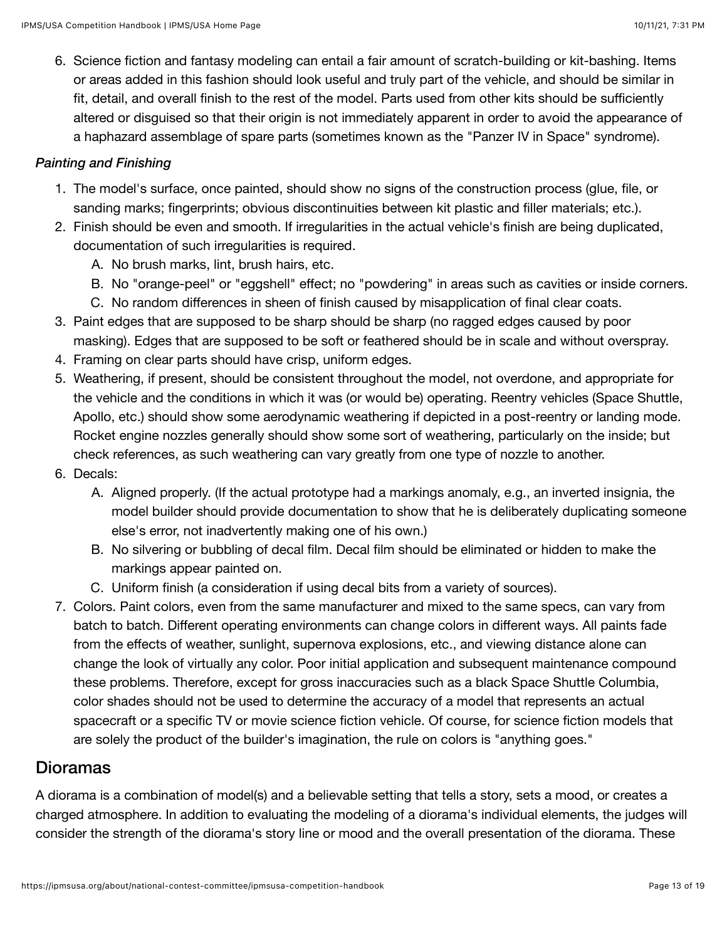6. Science fiction and fantasy modeling can entail a fair amount of scratch-building or kit-bashing. Items or areas added in this fashion should look useful and truly part of the vehicle, and should be similar in fit, detail, and overall finish to the rest of the model. Parts used from other kits should be sufficiently altered or disguised so that their origin is not immediately apparent in order to avoid the appearance of a haphazard assemblage of spare parts (sometimes known as the "Panzer IV in Space" syndrome).

### *Painting and Finishing*

- 1. The model's surface, once painted, should show no signs of the construction process (glue, file, or sanding marks; fingerprints; obvious discontinuities between kit plastic and filler materials; etc.).
- 2. Finish should be even and smooth. If irregularities in the actual vehicle's finish are being duplicated, documentation of such irregularities is required.
	- A. No brush marks, lint, brush hairs, etc.
	- B. No "orange-peel" or "eggshell" effect; no "powdering" in areas such as cavities or inside corners.
	- C. No random differences in sheen of finish caused by misapplication of final clear coats.
- 3. Paint edges that are supposed to be sharp should be sharp (no ragged edges caused by poor masking). Edges that are supposed to be soft or feathered should be in scale and without overspray.
- 4. Framing on clear parts should have crisp, uniform edges.
- 5. Weathering, if present, should be consistent throughout the model, not overdone, and appropriate for the vehicle and the conditions in which it was (or would be) operating. Reentry vehicles (Space Shuttle, Apollo, etc.) should show some aerodynamic weathering if depicted in a post-reentry or landing mode. Rocket engine nozzles generally should show some sort of weathering, particularly on the inside; but check references, as such weathering can vary greatly from one type of nozzle to another.
- 6. Decals:
	- A. Aligned properly. (If the actual prototype had a markings anomaly, e.g., an inverted insignia, the model builder should provide documentation to show that he is deliberately duplicating someone else's error, not inadvertently making one of his own.)
	- B. No silvering or bubbling of decal film. Decal film should be eliminated or hidden to make the markings appear painted on.
	- C. Uniform finish (a consideration if using decal bits from a variety of sources).
- 7. Colors. Paint colors, even from the same manufacturer and mixed to the same specs, can vary from batch to batch. Different operating environments can change colors in different ways. All paints fade from the effects of weather, sunlight, supernova explosions, etc., and viewing distance alone can change the look of virtually any color. Poor initial application and subsequent maintenance compound these problems. Therefore, except for gross inaccuracies such as a black Space Shuttle Columbia, color shades should not be used to determine the accuracy of a model that represents an actual spacecraft or a specific TV or movie science fiction vehicle. Of course, for science fiction models that are solely the product of the builder's imagination, the rule on colors is "anything goes."

### Dioramas

A diorama is a combination of model(s) and a believable setting that tells a story, sets a mood, or creates a charged atmosphere. In addition to evaluating the modeling of a diorama's individual elements, the judges will consider the strength of the diorama's story line or mood and the overall presentation of the diorama. These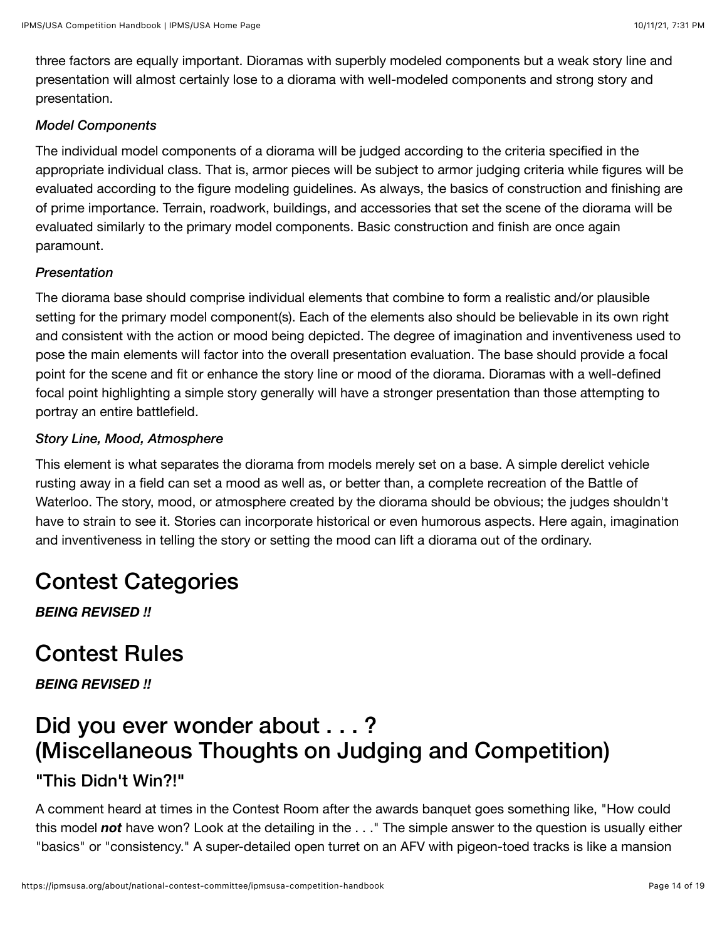three factors are equally important. Dioramas with superbly modeled components but a weak story line and presentation will almost certainly lose to a diorama with well-modeled components and strong story and presentation.

#### *Model Components*

The individual model components of a diorama will be judged according to the criteria specified in the appropriate individual class. That is, armor pieces will be subject to armor judging criteria while figures will be evaluated according to the figure modeling guidelines. As always, the basics of construction and finishing are of prime importance. Terrain, roadwork, buildings, and accessories that set the scene of the diorama will be evaluated similarly to the primary model components. Basic construction and finish are once again paramount.

#### *Presentation*

The diorama base should comprise individual elements that combine to form a realistic and/or plausible setting for the primary model component(s). Each of the elements also should be believable in its own right and consistent with the action or mood being depicted. The degree of imagination and inventiveness used to pose the main elements will factor into the overall presentation evaluation. The base should provide a focal point for the scene and fit or enhance the story line or mood of the diorama. Dioramas with a well-defined focal point highlighting a simple story generally will have a stronger presentation than those attempting to portray an entire battlefield.

#### *Story Line, Mood, Atmosphere*

This element is what separates the diorama from models merely set on a base. A simple derelict vehicle rusting away in a field can set a mood as well as, or better than, a complete recreation of the Battle of Waterloo. The story, mood, or atmosphere created by the diorama should be obvious; the judges shouldn't have to strain to see it. Stories can incorporate historical or even humorous aspects. Here again, imagination and inventiveness in telling the story or setting the mood can lift a diorama out of the ordinary.

## Contest Categories

*BEING REVISED !!*

## Contest Rules

*BEING REVISED !!*

## Did you ever wonder about . . . ? (Miscellaneous Thoughts on Judging and Competition)

### "This Didn't Win?!"

A comment heard at times in the Contest Room after the awards banquet goes something like, "How could this model *not* have won? Look at the detailing in the . . ." The simple answer to the question is usually either "basics" or "consistency." A super-detailed open turret on an AFV with pigeon-toed tracks is like a mansion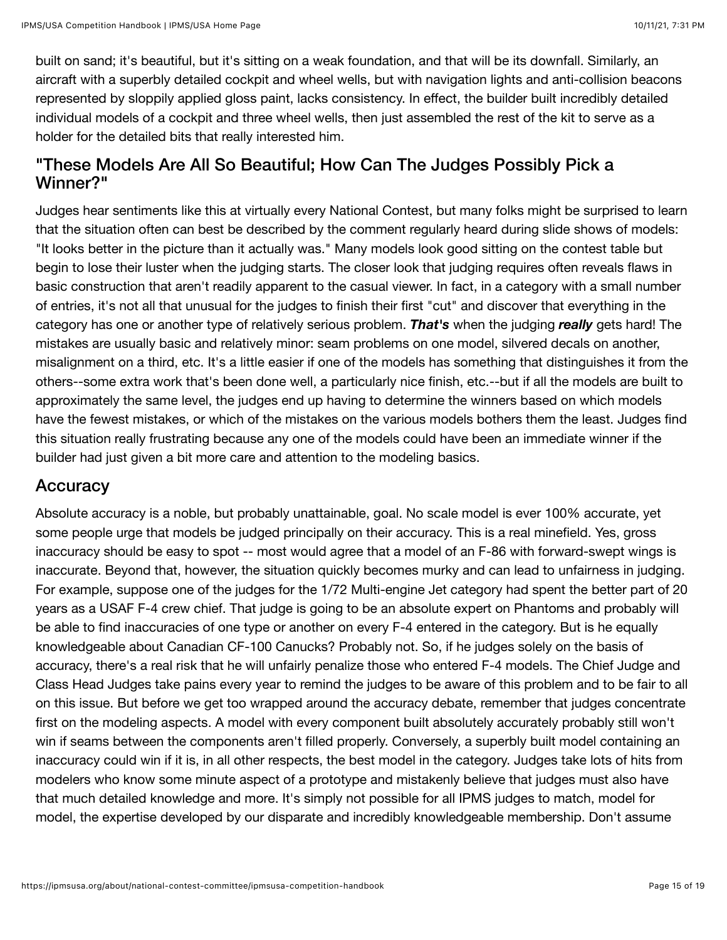built on sand; it's beautiful, but it's sitting on a weak foundation, and that will be its downfall. Similarly, an aircraft with a superbly detailed cockpit and wheel wells, but with navigation lights and anti-collision beacons represented by sloppily applied gloss paint, lacks consistency. In effect, the builder built incredibly detailed individual models of a cockpit and three wheel wells, then just assembled the rest of the kit to serve as a holder for the detailed bits that really interested him.

### "These Models Are All So Beautiful; How Can The Judges Possibly Pick a Winner?"

Judges hear sentiments like this at virtually every National Contest, but many folks might be surprised to learn that the situation often can best be described by the comment regularly heard during slide shows of models: "It looks better in the picture than it actually was." Many models look good sitting on the contest table but begin to lose their luster when the judging starts. The closer look that judging requires often reveals flaws in basic construction that aren't readily apparent to the casual viewer. In fact, in a category with a small number of entries, it's not all that unusual for the judges to finish their first "cut" and discover that everything in the category has one or another type of relatively serious problem. *That's* when the judging *really* gets hard! The mistakes are usually basic and relatively minor: seam problems on one model, silvered decals on another, misalignment on a third, etc. It's a little easier if one of the models has something that distinguishes it from the others--some extra work that's been done well, a particularly nice finish, etc.--but if all the models are built to approximately the same level, the judges end up having to determine the winners based on which models have the fewest mistakes, or which of the mistakes on the various models bothers them the least. Judges find this situation really frustrating because any one of the models could have been an immediate winner if the builder had just given a bit more care and attention to the modeling basics.

## **Accuracy**

Absolute accuracy is a noble, but probably unattainable, goal. No scale model is ever 100% accurate, yet some people urge that models be judged principally on their accuracy. This is a real minefield. Yes, gross inaccuracy should be easy to spot -- most would agree that a model of an F-86 with forward-swept wings is inaccurate. Beyond that, however, the situation quickly becomes murky and can lead to unfairness in judging. For example, suppose one of the judges for the 1/72 Multi-engine Jet category had spent the better part of 20 years as a USAF F-4 crew chief. That judge is going to be an absolute expert on Phantoms and probably will be able to find inaccuracies of one type or another on every F-4 entered in the category. But is he equally knowledgeable about Canadian CF-100 Canucks? Probably not. So, if he judges solely on the basis of accuracy, there's a real risk that he will unfairly penalize those who entered F-4 models. The Chief Judge and Class Head Judges take pains every year to remind the judges to be aware of this problem and to be fair to all on this issue. But before we get too wrapped around the accuracy debate, remember that judges concentrate first on the modeling aspects. A model with every component built absolutely accurately probably still won't win if seams between the components aren't filled properly. Conversely, a superbly built model containing an inaccuracy could win if it is, in all other respects, the best model in the category. Judges take lots of hits from modelers who know some minute aspect of a prototype and mistakenly believe that judges must also have that much detailed knowledge and more. It's simply not possible for all IPMS judges to match, model for model, the expertise developed by our disparate and incredibly knowledgeable membership. Don't assume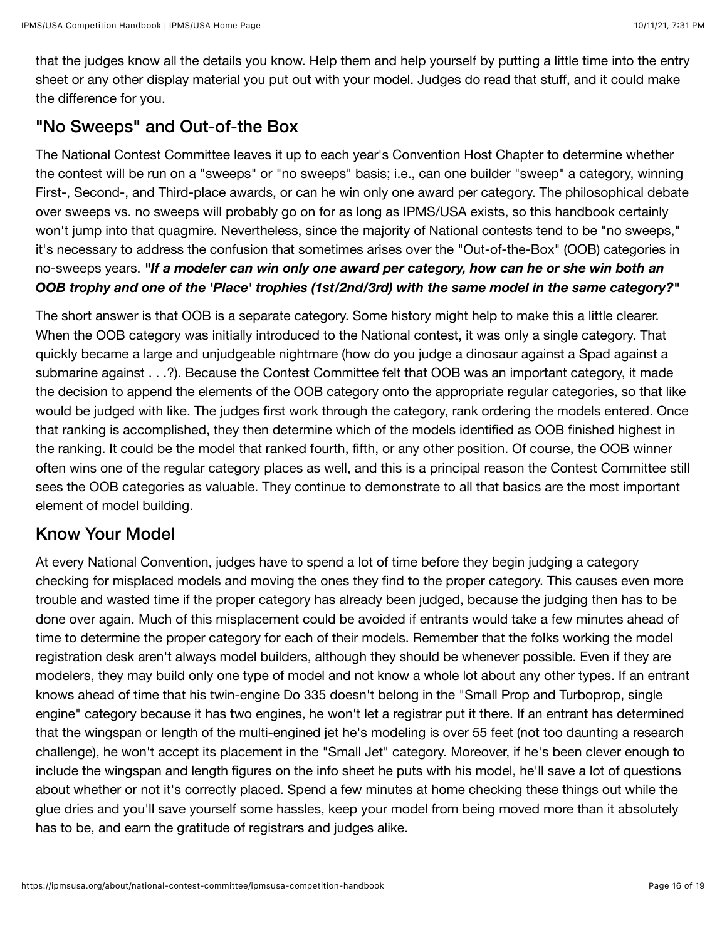that the judges know all the details you know. Help them and help yourself by putting a little time into the entry sheet or any other display material you put out with your model. Judges do read that stuff, and it could make the difference for you.

## "No Sweeps" and Out-of-the Box

The National Contest Committee leaves it up to each year's Convention Host Chapter to determine whether the contest will be run on a "sweeps" or "no sweeps" basis; i.e., can one builder "sweep" a category, winning First-, Second-, and Third-place awards, or can he win only one award per category. The philosophical debate over sweeps vs. no sweeps will probably go on for as long as IPMS/USA exists, so this handbook certainly won't jump into that quagmire. Nevertheless, since the majority of National contests tend to be "no sweeps," it's necessary to address the confusion that sometimes arises over the "Out-of-the-Box" (OOB) categories in no-sweeps years. *"If a modeler can win only one award per category, how can he or she win both an OOB trophy and one of the 'Place' trophies (1st/2nd/3rd) with the same model in the same category?"*

The short answer is that OOB is a separate category. Some history might help to make this a little clearer. When the OOB category was initially introduced to the National contest, it was only a single category. That quickly became a large and unjudgeable nightmare (how do you judge a dinosaur against a Spad against a submarine against . . .?). Because the Contest Committee felt that OOB was an important category, it made the decision to append the elements of the OOB category onto the appropriate regular categories, so that like would be judged with like. The judges first work through the category, rank ordering the models entered. Once that ranking is accomplished, they then determine which of the models identified as OOB finished highest in the ranking. It could be the model that ranked fourth, fifth, or any other position. Of course, the OOB winner often wins one of the regular category places as well, and this is a principal reason the Contest Committee still sees the OOB categories as valuable. They continue to demonstrate to all that basics are the most important element of model building.

## Know Your Model

At every National Convention, judges have to spend a lot of time before they begin judging a category checking for misplaced models and moving the ones they find to the proper category. This causes even more trouble and wasted time if the proper category has already been judged, because the judging then has to be done over again. Much of this misplacement could be avoided if entrants would take a few minutes ahead of time to determine the proper category for each of their models. Remember that the folks working the model registration desk aren't always model builders, although they should be whenever possible. Even if they are modelers, they may build only one type of model and not know a whole lot about any other types. If an entrant knows ahead of time that his twin-engine Do 335 doesn't belong in the "Small Prop and Turboprop, single engine" category because it has two engines, he won't let a registrar put it there. If an entrant has determined that the wingspan or length of the multi-engined jet he's modeling is over 55 feet (not too daunting a research challenge), he won't accept its placement in the "Small Jet" category. Moreover, if he's been clever enough to include the wingspan and length figures on the info sheet he puts with his model, he'll save a lot of questions about whether or not it's correctly placed. Spend a few minutes at home checking these things out while the glue dries and you'll save yourself some hassles, keep your model from being moved more than it absolutely has to be, and earn the gratitude of registrars and judges alike.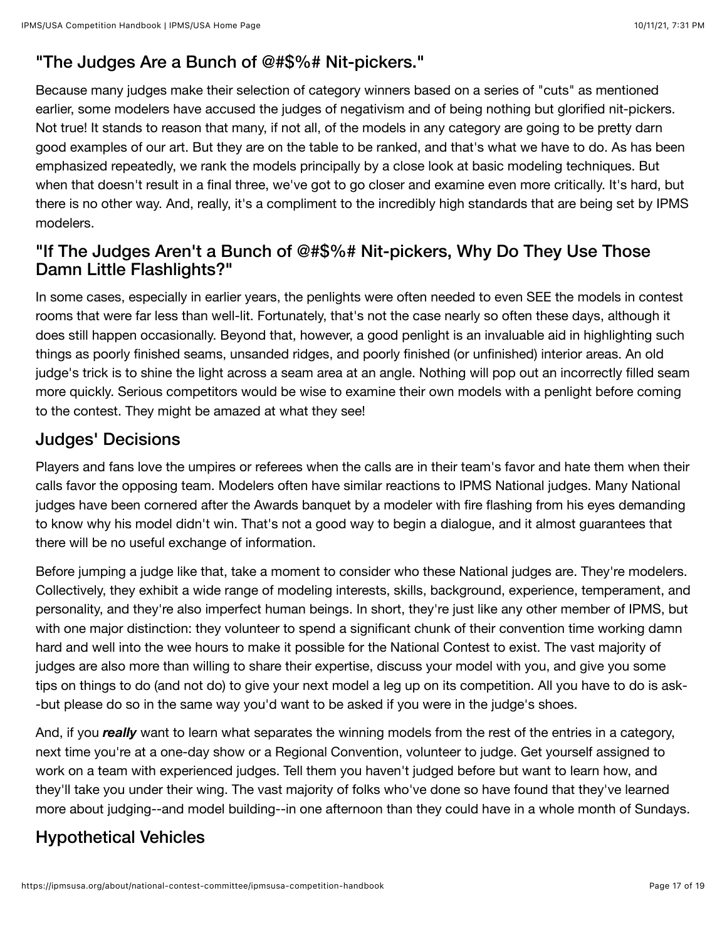## "The Judges Are a Bunch of @#\$%# Nit-pickers."

Because many judges make their selection of category winners based on a series of "cuts" as mentioned earlier, some modelers have accused the judges of negativism and of being nothing but glorified nit-pickers. Not true! It stands to reason that many, if not all, of the models in any category are going to be pretty darn good examples of our art. But they are on the table to be ranked, and that's what we have to do. As has been emphasized repeatedly, we rank the models principally by a close look at basic modeling techniques. But when that doesn't result in a final three, we've got to go closer and examine even more critically. It's hard, but there is no other way. And, really, it's a compliment to the incredibly high standards that are being set by IPMS modelers.

### "If The Judges Aren't a Bunch of @#\$%# Nit-pickers, Why Do They Use Those Damn Little Flashlights?"

In some cases, especially in earlier years, the penlights were often needed to even SEE the models in contest rooms that were far less than well-lit. Fortunately, that's not the case nearly so often these days, although it does still happen occasionally. Beyond that, however, a good penlight is an invaluable aid in highlighting such things as poorly finished seams, unsanded ridges, and poorly finished (or unfinished) interior areas. An old judge's trick is to shine the light across a seam area at an angle. Nothing will pop out an incorrectly filled seam more quickly. Serious competitors would be wise to examine their own models with a penlight before coming to the contest. They might be amazed at what they see!

## Judges' Decisions

Players and fans love the umpires or referees when the calls are in their team's favor and hate them when their calls favor the opposing team. Modelers often have similar reactions to IPMS National judges. Many National judges have been cornered after the Awards banquet by a modeler with fire flashing from his eyes demanding to know why his model didn't win. That's not a good way to begin a dialogue, and it almost guarantees that there will be no useful exchange of information.

Before jumping a judge like that, take a moment to consider who these National judges are. They're modelers. Collectively, they exhibit a wide range of modeling interests, skills, background, experience, temperament, and personality, and they're also imperfect human beings. In short, they're just like any other member of IPMS, but with one major distinction: they volunteer to spend a significant chunk of their convention time working damn hard and well into the wee hours to make it possible for the National Contest to exist. The vast majority of judges are also more than willing to share their expertise, discuss your model with you, and give you some tips on things to do (and not do) to give your next model a leg up on its competition. All you have to do is ask- -but please do so in the same way you'd want to be asked if you were in the judge's shoes.

And, if you *really* want to learn what separates the winning models from the rest of the entries in a category, next time you're at a one-day show or a Regional Convention, volunteer to judge. Get yourself assigned to work on a team with experienced judges. Tell them you haven't judged before but want to learn how, and they'll take you under their wing. The vast majority of folks who've done so have found that they've learned more about judging--and model building--in one afternoon than they could have in a whole month of Sundays.

## Hypothetical Vehicles